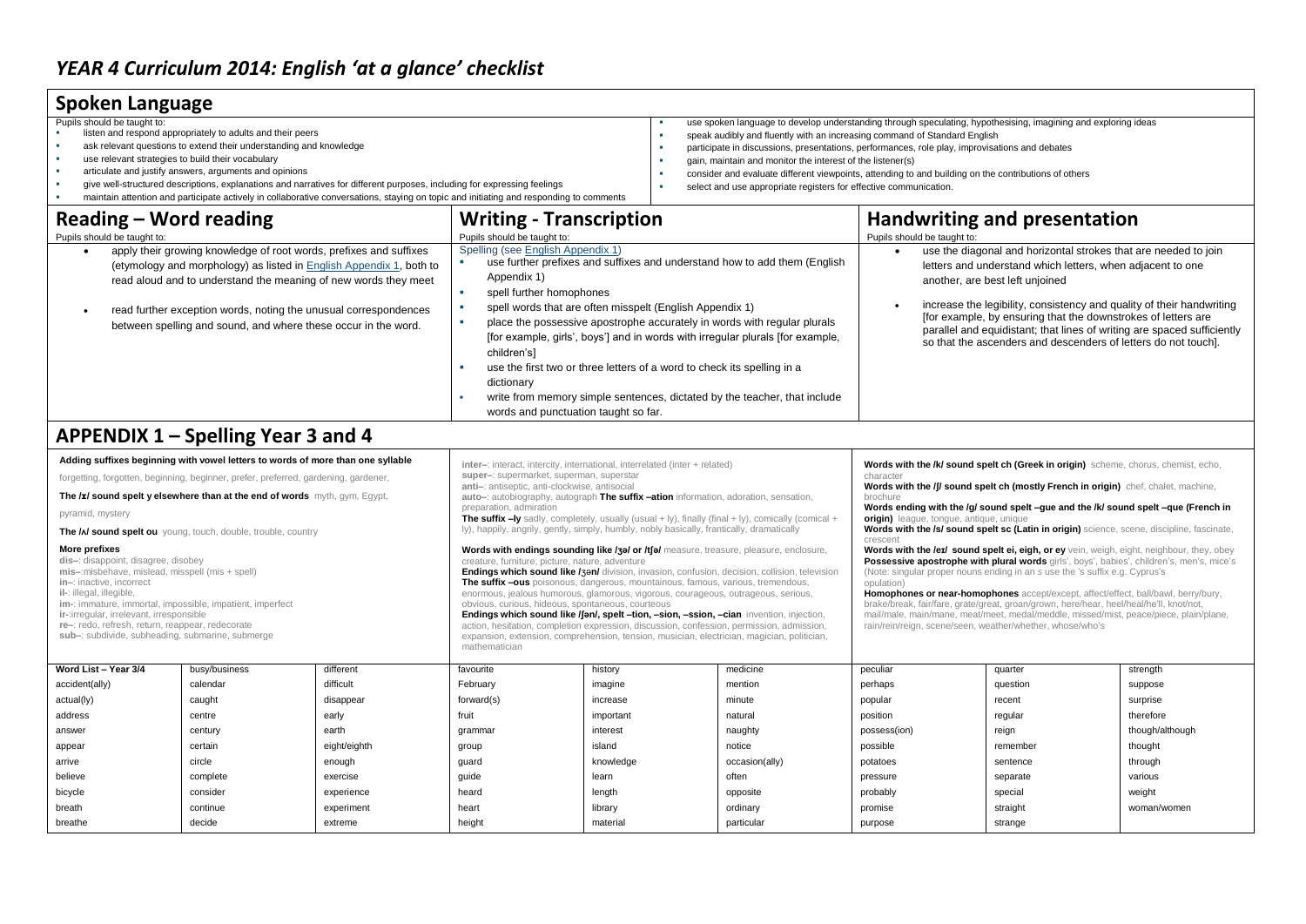## **Spoken Language**

| <b>SPUNCII LAIIKUAKE</b>                                                                                                               |                                                                         |                                                                                                                |                                                                                                          |  |  |  |
|----------------------------------------------------------------------------------------------------------------------------------------|-------------------------------------------------------------------------|----------------------------------------------------------------------------------------------------------------|----------------------------------------------------------------------------------------------------------|--|--|--|
| Pupils should be taught to:                                                                                                            |                                                                         | use spoken language to develop understanding through speculating, hypothesising, imagining and exploring ideas |                                                                                                          |  |  |  |
| listen and respond appropriately to adults and their peers                                                                             |                                                                         | speak audibly and fluently with an increasing command of Standard English                                      |                                                                                                          |  |  |  |
| ask relevant questions to extend their understanding and knowledge                                                                     |                                                                         | participate in discussions, presentations, performances, role play, improvisations and debates                 |                                                                                                          |  |  |  |
| use relevant strategies to build their vocabulary                                                                                      |                                                                         | gain, maintain and monitor the interest of the listener(s)                                                     |                                                                                                          |  |  |  |
| articulate and justify answers, arguments and opinions                                                                                 |                                                                         | consider and evaluate different viewpoints, attending to and building on the contributions of others           |                                                                                                          |  |  |  |
| give well-structured descriptions, explanations and narratives for different purposes, including for expressing feelings               |                                                                         | select and use appropriate registers for effective communication.                                              |                                                                                                          |  |  |  |
| maintain attention and participate actively in collaborative conversations, staying on topic and initiating and responding to comments |                                                                         |                                                                                                                |                                                                                                          |  |  |  |
| Reading – Word reading<br><b>Writing - Transcription</b>                                                                               |                                                                         |                                                                                                                | <b>Handwriting and presentation</b>                                                                      |  |  |  |
| Pupils should be taught to:                                                                                                            | Pupils should be taught to:                                             |                                                                                                                | Pupils should be taught to:                                                                              |  |  |  |
| apply their growing knowledge of root words, prefixes and suffixes                                                                     | Spelling (see English Appendix 1)                                       |                                                                                                                | use the diagonal and horizontal strokes that are needed to join                                          |  |  |  |
| (etymology and morphology) as listed in English Appendix 1, both to                                                                    |                                                                         | use further prefixes and suffixes and understand how to add them (English)                                     | letters and understand which letters, when adjacent to one                                               |  |  |  |
| read aloud and to understand the meaning of new words they meet                                                                        | Appendix 1)                                                             |                                                                                                                | another, are best left unjoined<br>increase the legibility, consistency and quality of their handwriting |  |  |  |
|                                                                                                                                        | spell further homophones                                                |                                                                                                                |                                                                                                          |  |  |  |
| read further exception words, noting the unusual correspondences                                                                       | spell words that are often misspelt (English Appendix 1)                |                                                                                                                |                                                                                                          |  |  |  |
|                                                                                                                                        |                                                                         | place the possessive apostrophe accurately in words with regular plurals                                       | ffor example, by ensuring that the downstrokes of letters are                                            |  |  |  |
| between spelling and sound, and where these occur in the word.                                                                         |                                                                         |                                                                                                                | parallel and equidistant; that lines of writing are spaced sufficiently                                  |  |  |  |
|                                                                                                                                        | children's]                                                             | [for example, girls', boys'] and in words with irregular plurals [for example,                                 | so that the ascenders and descenders of letters do not touch].                                           |  |  |  |
|                                                                                                                                        | use the first two or three letters of a word to check its spelling in a |                                                                                                                |                                                                                                          |  |  |  |
|                                                                                                                                        | dictionary                                                              |                                                                                                                |                                                                                                          |  |  |  |
|                                                                                                                                        |                                                                         |                                                                                                                |                                                                                                          |  |  |  |
|                                                                                                                                        |                                                                         | write from memory simple sentences, dictated by the teacher, that include                                      |                                                                                                          |  |  |  |
|                                                                                                                                        | words and punctuation taught so far.                                    |                                                                                                                |                                                                                                          |  |  |  |

## **APPENDIX 1 – Spelling Year 3 and 4**

| Adding suffixes beginning with vowel letters to words of more than one syllable                                                                                                                                                                                                                                                                                                  |               | <b>inter-</b> : interact, intercity, international, interrelated (inter + related)                                                                                                                                                                                                                                                                                                                                                                                                                                                                                                                                                                                                                                                                                                    |            |                                                                                                                                                                                                                                                                                                                                                                                                                                                                                                                                                                                                                                        | Words with the /k/ sound spelt ch (Greek in origin) scheme, chorus, chemist, echo,                                            |              |          |                 |
|----------------------------------------------------------------------------------------------------------------------------------------------------------------------------------------------------------------------------------------------------------------------------------------------------------------------------------------------------------------------------------|---------------|---------------------------------------------------------------------------------------------------------------------------------------------------------------------------------------------------------------------------------------------------------------------------------------------------------------------------------------------------------------------------------------------------------------------------------------------------------------------------------------------------------------------------------------------------------------------------------------------------------------------------------------------------------------------------------------------------------------------------------------------------------------------------------------|------------|----------------------------------------------------------------------------------------------------------------------------------------------------------------------------------------------------------------------------------------------------------------------------------------------------------------------------------------------------------------------------------------------------------------------------------------------------------------------------------------------------------------------------------------------------------------------------------------------------------------------------------------|-------------------------------------------------------------------------------------------------------------------------------|--------------|----------|-----------------|
| forgetting, forgotten, beginning, beginner, prefer, preferred, gardening, gardener,                                                                                                                                                                                                                                                                                              |               | super-: supermarket, superman, superstar                                                                                                                                                                                                                                                                                                                                                                                                                                                                                                                                                                                                                                                                                                                                              |            |                                                                                                                                                                                                                                                                                                                                                                                                                                                                                                                                                                                                                                        | character                                                                                                                     |              |          |                 |
| The /x/ sound spelt y elsewhere than at the end of words myth, gym, Egypt,                                                                                                                                                                                                                                                                                                       |               | anti-: antiseptic, anti-clockwise, antisocial<br>auto-: autobiography, autograph The suffix -ation information, adoration, sensation,                                                                                                                                                                                                                                                                                                                                                                                                                                                                                                                                                                                                                                                 |            |                                                                                                                                                                                                                                                                                                                                                                                                                                                                                                                                                                                                                                        | Words with the /[/ sound spelt ch (mostly French in origin) chef, chalet, machine,<br>brochure                                |              |          |                 |
| pyramid, mystery                                                                                                                                                                                                                                                                                                                                                                 |               | preparation, admiration<br><b>The suffix -ly</b> sadly, completely, usually (usual + ly), finally (final + ly), comically (comical +                                                                                                                                                                                                                                                                                                                                                                                                                                                                                                                                                                                                                                                  |            |                                                                                                                                                                                                                                                                                                                                                                                                                                                                                                                                                                                                                                        | Words ending with the /g/ sound spelt -gue and the /k/ sound spelt -gue (French in<br>origin) league, tongue, antique, unique |              |          |                 |
| The /N sound spelt ou young, touch, double, trouble, country                                                                                                                                                                                                                                                                                                                     |               | ly), happily, angrily, gently, simply, humbly, nobly basically, frantically, dramatically                                                                                                                                                                                                                                                                                                                                                                                                                                                                                                                                                                                                                                                                                             |            |                                                                                                                                                                                                                                                                                                                                                                                                                                                                                                                                                                                                                                        | Words with the /s/ sound spelt sc (Latin in origin) science, scene, discipline, fascinate,                                    |              |          |                 |
| More prefixes<br>dis-: disappoint, disagree, disobey<br>mis-:misbehave, mislead, misspell (mis + spell)<br>in-: inactive, incorrect<br>il-: illegal, illegible,<br>im-: immature, immortal, impossible, impatient, imperfect<br>ir-:irregular, irrelevant, irresponsible<br>re-: redo, refresh, return, reappear, redecorate<br>sub-: subdivide, subheading, submarine, submerge |               | Words with endings sounding like /3a/ or /t[a/ measure, treasure, pleasure, enclosure,<br>creature, furniture, picture, nature, adventure<br><b>Endings which sound like /3an/</b> division, invasion, confusion, decision, collision, television<br>The suffix -ous poisonous, dangerous, mountainous, famous, various, tremendous,<br>enormous, jealous humorous, glamorous, vigorous, courageous, outrageous, serious,<br>obvious, curious, hideous, spontaneous, courteous<br>Endings which sound like /fan/, spelt -tion, -sion, -ssion, -cian invention, injection,<br>action, hesitation, completion expression, discussion, confession, permission, admission,<br>expansion, extension, comprehension, tension, musician, electrician, magician, politician,<br>mathematician |            | crescent<br>Words with the /eɪ/ sound spelt ei, eigh, or ey vein, weigh, eight, neighbour, they, obey<br>Possessive apostrophe with plural words girls', boys', babies', children's, men's, mice's<br>(Note: singular proper nouns ending in an s use the 's suffix e.g. Cyprus's<br>opulation)<br>Homophones or near-homophones accept/except, affect/effect, ball/bawl, berry/bury,<br>brake/break, fair/fare, grate/great, groan/grown, here/hear, heel/heal/he'll, knot/not,<br>mail/male, main/mane, meat/meet, medal/meddle, missed/mist, peace/piece, plain/plane,<br>rain/rein/reign, scene/seen, weather/whether, whose/who's |                                                                                                                               |              |          |                 |
| Word List - Year 3/4                                                                                                                                                                                                                                                                                                                                                             | busy/business | different                                                                                                                                                                                                                                                                                                                                                                                                                                                                                                                                                                                                                                                                                                                                                                             | favourite  | history                                                                                                                                                                                                                                                                                                                                                                                                                                                                                                                                                                                                                                | medicine                                                                                                                      | peculiar     | quarter  | strength        |
| accident(ally)                                                                                                                                                                                                                                                                                                                                                                   | calendar      | difficult                                                                                                                                                                                                                                                                                                                                                                                                                                                                                                                                                                                                                                                                                                                                                                             | February   | imagine                                                                                                                                                                                                                                                                                                                                                                                                                                                                                                                                                                                                                                | mention                                                                                                                       | perhaps      | question | suppose         |
| actual(ly)                                                                                                                                                                                                                                                                                                                                                                       | caught        | disappear                                                                                                                                                                                                                                                                                                                                                                                                                                                                                                                                                                                                                                                                                                                                                                             | forward(s) | increase                                                                                                                                                                                                                                                                                                                                                                                                                                                                                                                                                                                                                               | minute                                                                                                                        | popular      | recent   | surprise        |
| address                                                                                                                                                                                                                                                                                                                                                                          | centre        | early                                                                                                                                                                                                                                                                                                                                                                                                                                                                                                                                                                                                                                                                                                                                                                                 | fruit      | important                                                                                                                                                                                                                                                                                                                                                                                                                                                                                                                                                                                                                              | natural                                                                                                                       | position     | regular  | therefore       |
| answer                                                                                                                                                                                                                                                                                                                                                                           | century       | earth                                                                                                                                                                                                                                                                                                                                                                                                                                                                                                                                                                                                                                                                                                                                                                                 | grammar    | interest                                                                                                                                                                                                                                                                                                                                                                                                                                                                                                                                                                                                                               | naughty                                                                                                                       | possess(ion) | reign    | though/although |
| appear                                                                                                                                                                                                                                                                                                                                                                           | certain       | eight/eighth                                                                                                                                                                                                                                                                                                                                                                                                                                                                                                                                                                                                                                                                                                                                                                          | group      | island                                                                                                                                                                                                                                                                                                                                                                                                                                                                                                                                                                                                                                 | notice                                                                                                                        | possible     | remember | thought         |
| arrive                                                                                                                                                                                                                                                                                                                                                                           | circle        | enough                                                                                                                                                                                                                                                                                                                                                                                                                                                                                                                                                                                                                                                                                                                                                                                | quard      | knowledge                                                                                                                                                                                                                                                                                                                                                                                                                                                                                                                                                                                                                              | occasion(ally)                                                                                                                | potatoes     | sentence | through         |
| believe                                                                                                                                                                                                                                                                                                                                                                          | complete      | exercise                                                                                                                                                                                                                                                                                                                                                                                                                                                                                                                                                                                                                                                                                                                                                                              | quide      | learn                                                                                                                                                                                                                                                                                                                                                                                                                                                                                                                                                                                                                                  | often                                                                                                                         | pressure     | separate | various         |
| bicycle                                                                                                                                                                                                                                                                                                                                                                          | consider      | experience                                                                                                                                                                                                                                                                                                                                                                                                                                                                                                                                                                                                                                                                                                                                                                            | heard      | length                                                                                                                                                                                                                                                                                                                                                                                                                                                                                                                                                                                                                                 | opposite                                                                                                                      | probably     | special  | weight          |
| breath                                                                                                                                                                                                                                                                                                                                                                           | continue      | experiment                                                                                                                                                                                                                                                                                                                                                                                                                                                                                                                                                                                                                                                                                                                                                                            | heart      | library                                                                                                                                                                                                                                                                                                                                                                                                                                                                                                                                                                                                                                | ordinary                                                                                                                      | promise      | straight | woman/women     |
| breathe                                                                                                                                                                                                                                                                                                                                                                          | decide        | extreme                                                                                                                                                                                                                                                                                                                                                                                                                                                                                                                                                                                                                                                                                                                                                                               | height     | material                                                                                                                                                                                                                                                                                                                                                                                                                                                                                                                                                                                                                               | particular                                                                                                                    | purpose      | strange  |                 |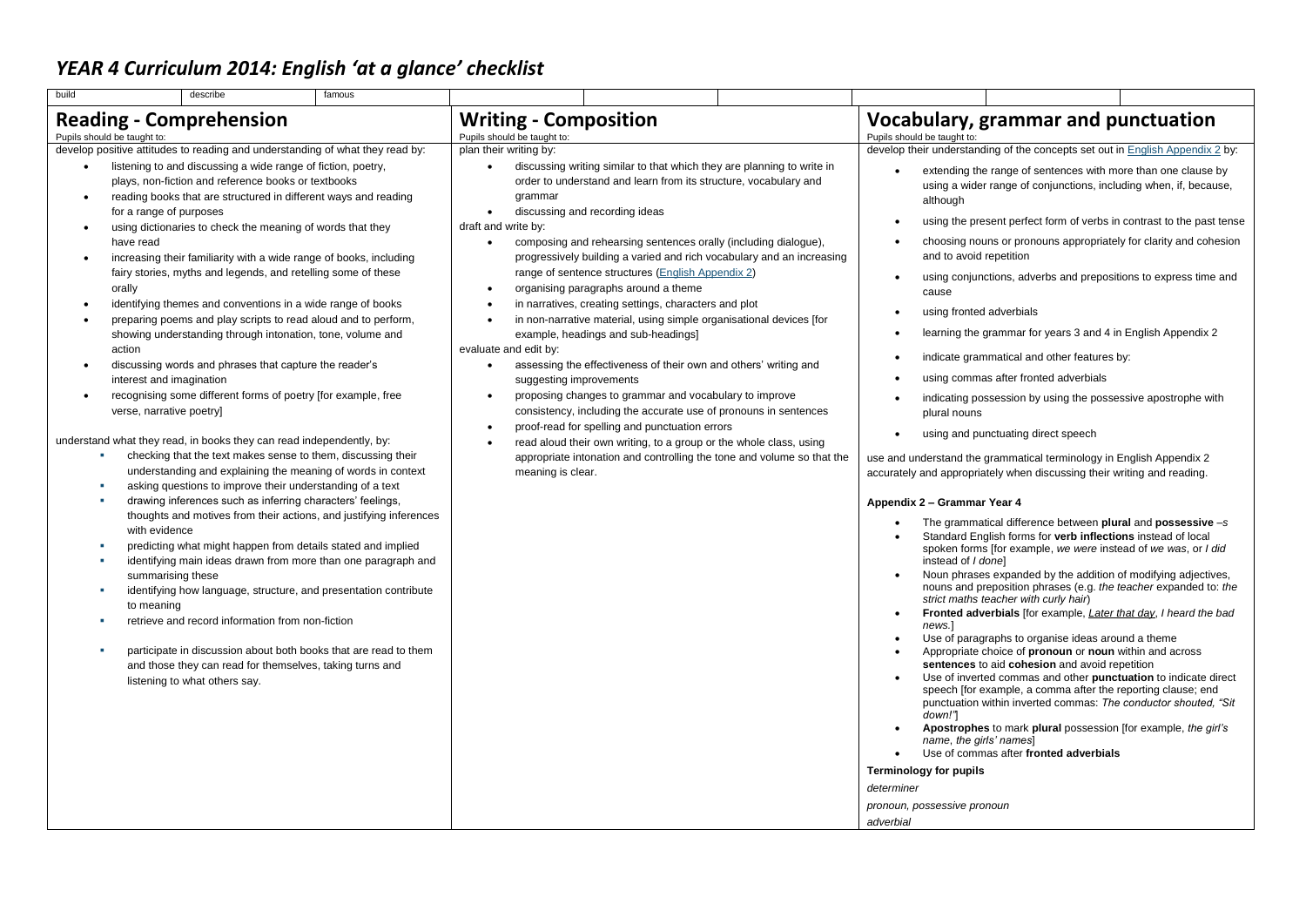| build                                                                            | describe                                                                                                                                                                                                                                                                                                                                                                                                                                                                                                                                                                                                                                                                                                                                                                                                                                                                                                                                                                                                                                                                                                                                                                                                                                                                                                                                                                                                                                                                                                                                                                                                                                                                                        | famous                                                      |                                                                                                                                                                                                    |                                                                                                                                                                                                                                                                                                                                                                                                                                                                                                                                                                                                                                                                                                                                                                                                                                                                                                                                                                                                  |                                                                    |                                                                                                                                                                                                                                                                                                                                                                                                                                                                                   |                                                                                                                                                                                                                                                                                                                                                                                                                                                                                                                                                                                                                                                                                                                                                                                                                                                                                                                                                                                                                                                                                                                                                                                                                                                                                                                                                                                                                                                                                                                                                                                                                                           |                                                                       |
|----------------------------------------------------------------------------------|-------------------------------------------------------------------------------------------------------------------------------------------------------------------------------------------------------------------------------------------------------------------------------------------------------------------------------------------------------------------------------------------------------------------------------------------------------------------------------------------------------------------------------------------------------------------------------------------------------------------------------------------------------------------------------------------------------------------------------------------------------------------------------------------------------------------------------------------------------------------------------------------------------------------------------------------------------------------------------------------------------------------------------------------------------------------------------------------------------------------------------------------------------------------------------------------------------------------------------------------------------------------------------------------------------------------------------------------------------------------------------------------------------------------------------------------------------------------------------------------------------------------------------------------------------------------------------------------------------------------------------------------------------------------------------------------------|-------------------------------------------------------------|----------------------------------------------------------------------------------------------------------------------------------------------------------------------------------------------------|--------------------------------------------------------------------------------------------------------------------------------------------------------------------------------------------------------------------------------------------------------------------------------------------------------------------------------------------------------------------------------------------------------------------------------------------------------------------------------------------------------------------------------------------------------------------------------------------------------------------------------------------------------------------------------------------------------------------------------------------------------------------------------------------------------------------------------------------------------------------------------------------------------------------------------------------------------------------------------------------------|--------------------------------------------------------------------|-----------------------------------------------------------------------------------------------------------------------------------------------------------------------------------------------------------------------------------------------------------------------------------------------------------------------------------------------------------------------------------------------------------------------------------------------------------------------------------|-------------------------------------------------------------------------------------------------------------------------------------------------------------------------------------------------------------------------------------------------------------------------------------------------------------------------------------------------------------------------------------------------------------------------------------------------------------------------------------------------------------------------------------------------------------------------------------------------------------------------------------------------------------------------------------------------------------------------------------------------------------------------------------------------------------------------------------------------------------------------------------------------------------------------------------------------------------------------------------------------------------------------------------------------------------------------------------------------------------------------------------------------------------------------------------------------------------------------------------------------------------------------------------------------------------------------------------------------------------------------------------------------------------------------------------------------------------------------------------------------------------------------------------------------------------------------------------------------------------------------------------------|-----------------------------------------------------------------------|
| <b>Reading - Comprehension</b><br>Pupils should be taught to:                    |                                                                                                                                                                                                                                                                                                                                                                                                                                                                                                                                                                                                                                                                                                                                                                                                                                                                                                                                                                                                                                                                                                                                                                                                                                                                                                                                                                                                                                                                                                                                                                                                                                                                                                 | <b>Writing - Composition</b><br>Pupils should be taught to: |                                                                                                                                                                                                    |                                                                                                                                                                                                                                                                                                                                                                                                                                                                                                                                                                                                                                                                                                                                                                                                                                                                                                                                                                                                  | Vocabulary, grammar and punctuation<br>Pupils should be taught to: |                                                                                                                                                                                                                                                                                                                                                                                                                                                                                   |                                                                                                                                                                                                                                                                                                                                                                                                                                                                                                                                                                                                                                                                                                                                                                                                                                                                                                                                                                                                                                                                                                                                                                                                                                                                                                                                                                                                                                                                                                                                                                                                                                           |                                                                       |
| develop positive attitudes to reading and understanding of what they read by:    |                                                                                                                                                                                                                                                                                                                                                                                                                                                                                                                                                                                                                                                                                                                                                                                                                                                                                                                                                                                                                                                                                                                                                                                                                                                                                                                                                                                                                                                                                                                                                                                                                                                                                                 |                                                             |                                                                                                                                                                                                    |                                                                                                                                                                                                                                                                                                                                                                                                                                                                                                                                                                                                                                                                                                                                                                                                                                                                                                                                                                                                  |                                                                    | develop their understanding of the concepts set out in <b>English Appendix 2</b> by:                                                                                                                                                                                                                                                                                                                                                                                              |                                                                                                                                                                                                                                                                                                                                                                                                                                                                                                                                                                                                                                                                                                                                                                                                                                                                                                                                                                                                                                                                                                                                                                                                                                                                                                                                                                                                                                                                                                                                                                                                                                           |                                                                       |
| ٠<br>$\bullet$<br>have read<br>$\bullet$<br>orally<br>action<br>٠<br>٠<br>٠<br>٠ | listening to and discussing a wide range of fiction, poetry,<br>plays, non-fiction and reference books or textbooks<br>reading books that are structured in different ways and reading<br>for a range of purposes<br>using dictionaries to check the meaning of words that they<br>increasing their familiarity with a wide range of books, including<br>fairy stories, myths and legends, and retelling some of these<br>identifying themes and conventions in a wide range of books<br>preparing poems and play scripts to read aloud and to perform,<br>showing understanding through intonation, tone, volume and<br>discussing words and phrases that capture the reader's<br>interest and imagination<br>recognising some different forms of poetry [for example, free<br>verse, narrative poetry]<br>understand what they read, in books they can read independently, by:<br>checking that the text makes sense to them, discussing their<br>understanding and explaining the meaning of words in context<br>asking questions to improve their understanding of a text<br>drawing inferences such as inferring characters' feelings,<br>thoughts and motives from their actions, and justifying inferences<br>with evidence<br>predicting what might happen from details stated and implied<br>identifying main ideas drawn from more than one paragraph and<br>summarising these<br>identifying how language, structure, and presentation contribute<br>to meaning<br>retrieve and record information from non-fiction<br>participate in discussion about both books that are read to them<br>and those they can read for themselves, taking turns and<br>listening to what others say. |                                                             | plan their writing by:<br>$\bullet$<br>grammar<br>$\bullet$<br>draft and write by:<br>$\bullet$<br>evaluate and edit by:<br>$\bullet$<br>suggesting improvements<br>$\bullet$<br>meaning is clear. | discussing writing similar to that which they are planning to write in<br>order to understand and learn from its structure, vocabulary and<br>discussing and recording ideas<br>composing and rehearsing sentences orally (including dialogue),<br>progressively building a varied and rich vocabulary and an increasing<br>range of sentence structures (English Appendix 2)<br>organising paragraphs around a theme<br>in narratives, creating settings, characters and plot<br>in non-narrative material, using simple organisational devices [for<br>example, headings and sub-headings]<br>assessing the effectiveness of their own and others' writing and<br>proposing changes to grammar and vocabulary to improve<br>consistency, including the accurate use of pronouns in sentences<br>proof-read for spelling and punctuation errors<br>read aloud their own writing, to a group or the whole class, using<br>appropriate intonation and controlling the tone and volume so that the |                                                                    | although<br>$\bullet$<br>٠<br>and to avoid repetition<br>$\bullet$<br>cause<br>using fronted adverbials<br>$\bullet$<br>٠<br>$\bullet$<br>plural nouns<br>$\bullet$<br>Appendix 2 - Grammar Year 4<br>$\bullet$<br>$\bullet$<br>instead of <i>I donel</i><br>$\bullet$<br>$\bullet$<br>news.]<br>$\bullet$<br>$\bullet$<br>$\bullet$<br>down!"<br>$\bullet$<br>name, the girls' names]<br>$\bullet$<br><b>Terminology for pupils</b><br>determiner<br>pronoun, possessive pronoun | extending the range of sentences with more than one clause by<br>using a wider range of conjunctions, including when, if, because,<br>choosing nouns or pronouns appropriately for clarity and cohesion<br>using conjunctions, adverbs and prepositions to express time and<br>learning the grammar for years 3 and 4 in English Appendix 2<br>indicate grammatical and other features by:<br>using commas after fronted adverbials<br>indicating possession by using the possessive apostrophe with<br>using and punctuating direct speech<br>use and understand the grammatical terminology in English Appendix 2<br>accurately and appropriately when discussing their writing and reading.<br>The grammatical difference between plural and possessive $-s$<br>Standard English forms for verb inflections instead of local<br>spoken forms [for example, we were instead of we was, or I did<br>Noun phrases expanded by the addition of modifying adjectives,<br>nouns and preposition phrases (e.g. the teacher expanded to: the<br>strict maths teacher with curly hair)<br>Fronted adverbials [for example, Later that day, I heard the bad<br>Use of paragraphs to organise ideas around a theme<br>Appropriate choice of pronoun or noun within and across<br>sentences to aid cohesion and avoid repetition<br>Use of inverted commas and other punctuation to indicate direct<br>speech [for example, a comma after the reporting clause; end<br>punctuation within inverted commas: The conductor shouted, "Sit<br>Apostrophes to mark plural possession [for example, the girl's<br>Use of commas after fronted adverbials | using the present perfect form of verbs in contrast to the past tense |
|                                                                                  |                                                                                                                                                                                                                                                                                                                                                                                                                                                                                                                                                                                                                                                                                                                                                                                                                                                                                                                                                                                                                                                                                                                                                                                                                                                                                                                                                                                                                                                                                                                                                                                                                                                                                                 |                                                             |                                                                                                                                                                                                    |                                                                                                                                                                                                                                                                                                                                                                                                                                                                                                                                                                                                                                                                                                                                                                                                                                                                                                                                                                                                  |                                                                    | adverbial                                                                                                                                                                                                                                                                                                                                                                                                                                                                         |                                                                                                                                                                                                                                                                                                                                                                                                                                                                                                                                                                                                                                                                                                                                                                                                                                                                                                                                                                                                                                                                                                                                                                                                                                                                                                                                                                                                                                                                                                                                                                                                                                           |                                                                       |